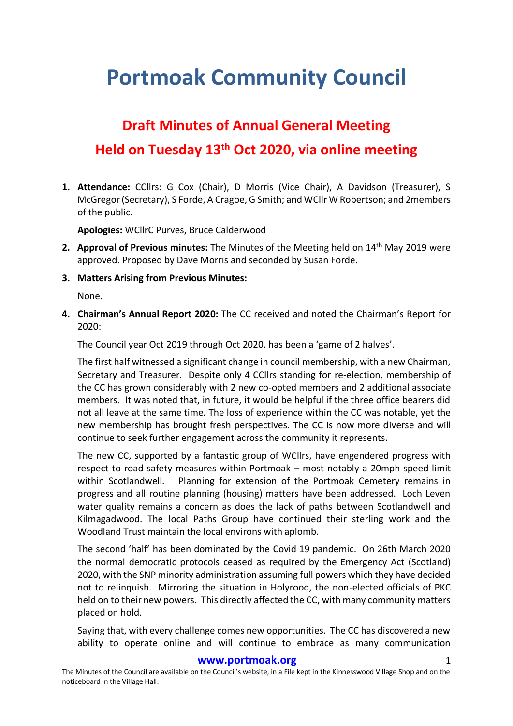## **Portmoak Community Council**

## **Draft Minutes of Annual General Meeting Held on Tuesday 13th Oct 2020, via online meeting**

**1. Attendance:** CCllrs: G Cox (Chair), D Morris (Vice Chair), A Davidson (Treasurer), S McGregor(Secretary), S Forde, A Cragoe, G Smith; and WCllr W Robertson; and 2members of the public.

**Apologies:** WCllrC Purves, Bruce Calderwood

- **2. Approval of Previous minutes:** The Minutes of the Meeting held on 14th May 2019 were approved. Proposed by Dave Morris and seconded by Susan Forde.
- **3. Matters Arising from Previous Minutes:**

None.

**4. Chairman's Annual Report 2020:** The CC received and noted the Chairman's Report for 2020:

The Council year Oct 2019 through Oct 2020, has been a 'game of 2 halves'.

The first half witnessed a significant change in council membership, with a new Chairman, Secretary and Treasurer. Despite only 4 CCllrs standing for re-election, membership of the CC has grown considerably with 2 new co-opted members and 2 additional associate members. It was noted that, in future, it would be helpful if the three office bearers did not all leave at the same time. The loss of experience within the CC was notable, yet the new membership has brought fresh perspectives. The CC is now more diverse and will continue to seek further engagement across the community it represents.

The new CC, supported by a fantastic group of WCllrs, have engendered progress with respect to road safety measures within Portmoak – most notably a 20mph speed limit within Scotlandwell. Planning for extension of the Portmoak Cemetery remains in progress and all routine planning (housing) matters have been addressed. Loch Leven water quality remains a concern as does the lack of paths between Scotlandwell and Kilmagadwood. The local Paths Group have continued their sterling work and the Woodland Trust maintain the local environs with aplomb.

The second 'half' has been dominated by the Covid 19 pandemic. On 26th March 2020 the normal democratic protocols ceased as required by the Emergency Act (Scotland) 2020, with the SNP minority administration assuming full powers which they have decided not to relinquish. Mirroring the situation in Holyrood, the non-elected officials of PKC held on to their new powers. This directly affected the CC, with many community matters placed on hold.

Saying that, with every challenge comes new opportunities. The CC has discovered a new ability to operate online and will continue to embrace as many communication

## **[www.portmoak.org](http://www.portmoak.org/)** 1